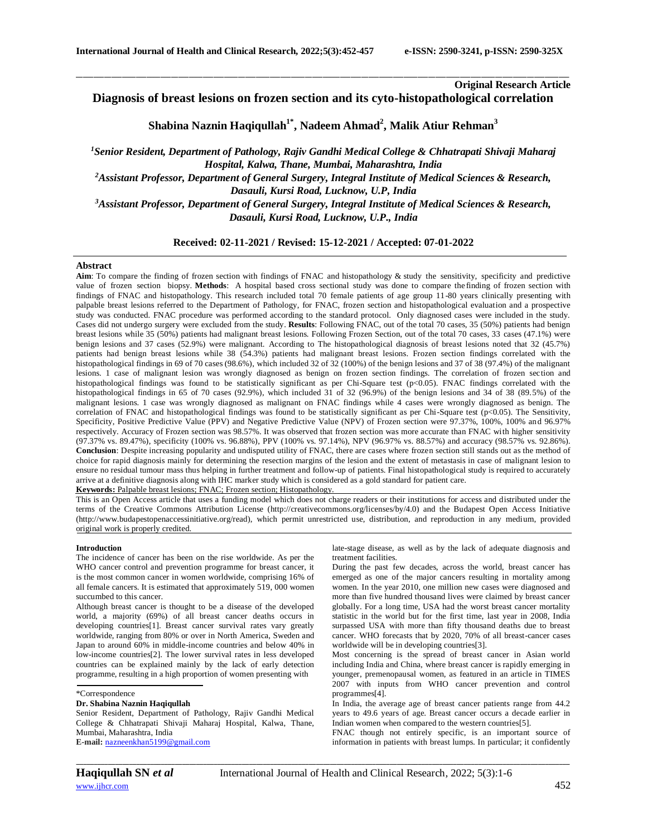# **Original Research Article**

**Diagnosis of breast lesions on frozen section and its cyto-histopathological correlation**

\_\_\_\_\_\_\_\_\_\_\_\_\_\_\_\_\_\_\_\_\_\_\_\_\_\_\_\_\_\_\_\_\_\_\_\_\_\_\_\_\_\_\_\_\_\_\_\_\_\_\_\_\_\_\_\_\_\_\_\_\_\_\_\_\_\_\_\_\_\_\_\_\_\_\_\_\_\_\_\_\_\_\_\_\_\_\_\_\_\_\_\_\_\_\_\_\_\_\_\_\_\_\_\_\_\_\_\_\_\_\_\_\_\_\_\_\_\_\_\_\_\_\_\_\_\_\_\_\_\_\_\_\_\_\_\_\_\_\_\_

**Shabina Naznin Haqiqullah1\* , Nadeem Ahmad<sup>2</sup> , Malik Atiur Rehman<sup>3</sup>**

*<sup>1</sup>Senior Resident, Department of Pathology, Rajiv Gandhi Medical College & Chhatrapati Shivaji Maharaj Hospital, Kalwa, Thane, Mumbai, Maharashtra, India <sup>2</sup>Assistant Professor, Department of General Surgery, Integral Institute of Medical Sciences & Research, Dasauli, Kursi Road, Lucknow, U.P, India <sup>3</sup>Assistant Professor, Department of General Surgery, Integral Institute of Medical Sciences & Research, Dasauli, Kursi Road, Lucknow, U.P., India*

**Received: 02-11-2021 / Revised: 15-12-2021 / Accepted: 07-01-2022**

## **Abstract**

**Aim**: To compare the finding of frozen section with findings of FNAC and histopathology & study the sensitivity, specificity and predictive value of frozen section biopsy. **Methods**: A hospital based cross sectional study was done to compare the finding of frozen section with findings of FNAC and histopathology. This research included total 70 female patients of age group 11-80 years clinically presenting with palpable breast lesions referred to the Department of Pathology, for FNAC, frozen section and histopathological evaluation and a prospective study was conducted. FNAC procedure was performed according to the standard protocol. Only diagnosed cases were included in the study. Cases did not undergo surgery were excluded from the study. **Results**: Following FNAC, out of the total 70 cases, 35 (50%) patients had benign breast lesions while 35 (50%) patients had malignant breast lesions. Following Frozen Section, out of the total 70 cases, 33 cases (47.1%) were benign lesions and 37 cases (52.9%) were malignant. According to The histopathological diagnosis of breast lesions noted that 32 (45.7%) patients had benign breast lesions while 38 (54.3%) patients had malignant breast lesions. Frozen section findings correlated with the histopathological findings in 69 of 70 cases (98.6%), which included 32 of  $32$  (100%) of the benign lesions and 37 of 38 (97.4%) of the malignant lesions. 1 case of malignant lesion was wrongly diagnosed as benign on frozen section findings. The correlation of frozen section and histopathological findings was found to be statistically significant as per Chi-Square test (p<0.05). FNAC findings correlated with the histopathological findings in 65 of 70 cases (92.9%), which included 31 of 32 (96.9%) of the benign lesions and 34 of 38 (89.5%) of the malignant lesions. 1 case was wrongly diagnosed as malignant on FNAC findings while 4 cases were wrongly diagnosed as benign. The correlation of FNAC and histopathological findings was found to be statistically significant as per Chi-Square test (p<0.05). The Sensitivity, Specificity, Positive Predictive Value (PPV) and Negative Predictive Value (NPV) of Frozen section were 97.37%, 100%, 100% and 96.97% respectively. Accuracy of Frozen section was 98.57%. It was observed that frozen section was more accurate than FNAC with higher sensitivity (97.37% vs. 89.47%), specificity (100% vs. 96.88%), PPV (100% vs. 97.14%), NPV (96.97% vs. 88.57%) and accuracy (98.57% vs. 92.86%). **Conclusion**: Despite increasing popularity and undisputed utility of FNAC, there are cases where frozen section still stands out as the method of choice for rapid diagnosis mainly for determining the resection margins of the lesion and the extent of metastasis in case of malignant lesion to ensure no residual tumour mass thus helping in further treatment and follow-up of patients. Final histopathological study is required to accurately arrive at a definitive diagnosis along with IHC marker study which is considered as a gold standard for patient care. **Keywords:** Palpable breast lesions; FNAC; Frozen section; Histopathology.

This is an Open Access article that uses a funding model which does not charge readers or their institutions for access and distributed under the terms of the Creative Commons Attribution License (http://creativecommons.org/licenses/by/4.0) and the Budapest Open Access Initiative (http://www.budapestopenaccessinitiative.org/read), which permit unrestricted use, distribution, and reproduction in any medium, provided original work is properly credited.

## **Introduction**

The incidence of cancer has been on the rise worldwide. As per the WHO cancer control and prevention programme for breast cancer, it is the most common cancer in women worldwide, comprising 16% of all female cancers. It is estimated that approximately 519, 000 women succumbed to this cancer.

Although breast cancer is thought to be a disease of the developed world, a majority (69%) of all breast cancer deaths occurs in developing countries[1]. Breast cancer survival rates vary greatly worldwide, ranging from 80% or over in North America, Sweden and Japan to around 60% in middle-income countries and below 40% in low-income countries[2]. The lower survival rates in less developed countries can be explained mainly by the lack of early detection programme, resulting in a high proportion of women presenting with

## \*Correspondence

## **Dr. Shabina Naznin Haqiqullah**

Senior Resident, Department of Pathology, Rajiv Gandhi Medical College & Chhatrapati Shivaji Maharaj Hospital, Kalwa, Thane, Mumbai, Maharashtra, India **E-mail:** [nazneenkhan5199@gmail.com](mailto:nazneenkhan5199@gmail.com)

late-stage disease, as well as by the lack of adequate diagnosis and treatment facilities.

During the past few decades, across the world, breast cancer has emerged as one of the major cancers resulting in mortality among women. In the year 2010, one million new cases were diagnosed and more than five hundred thousand lives were claimed by breast cancer globally. For a long time, USA had the worst breast cancer mortality statistic in the world but for the first time, last year in 2008, India surpassed USA with more than fifty thousand deaths due to breast cancer. WHO forecasts that by 2020, 70% of all breast-cancer cases worldwide will be in developing countries[3].

Most concerning is the spread of breast cancer in Asian world including India and China, where breast cancer is rapidly emerging in younger, premenopausal women, as featured in an article in TIMES 2007 with inputs from WHO cancer prevention and control programmes[4].

In India, the average age of breast cancer patients range from 44.2 years to 49.6 years of age. Breast cancer occurs a decade earlier in Indian women when compared to the western countries[5].

FNAC though not entirely specific, is an important source of information in patients with breast lumps. In particular; it confidently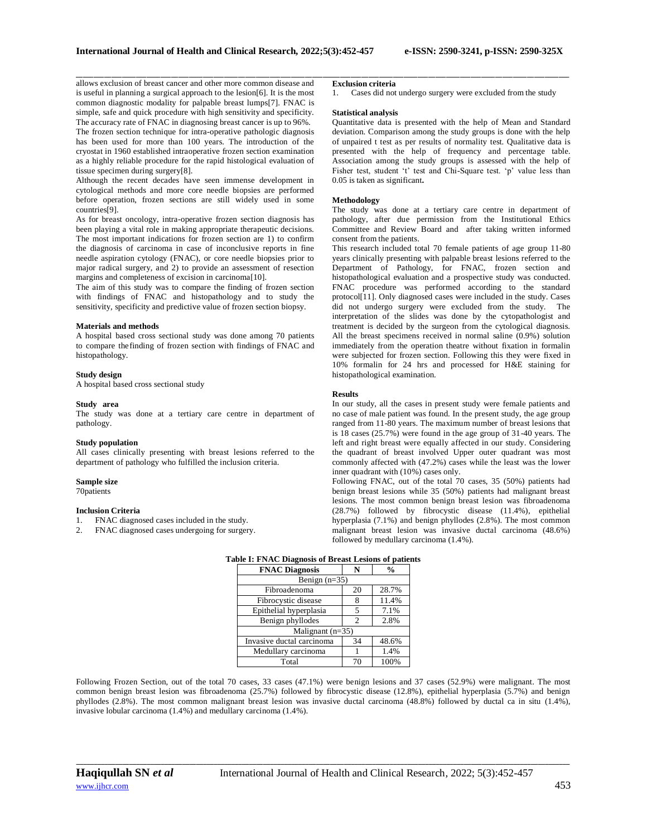\_\_\_\_\_\_\_\_\_\_\_\_\_\_\_\_\_\_\_\_\_\_\_\_\_\_\_\_\_\_\_\_\_\_\_\_\_\_\_\_\_\_\_\_\_\_\_\_\_\_\_\_\_\_\_\_\_\_\_\_\_\_\_\_\_\_\_\_\_\_\_\_\_\_\_\_\_\_\_\_\_\_\_\_\_\_\_\_\_\_\_\_\_\_\_\_\_\_\_\_\_\_\_\_\_\_\_\_\_\_\_\_\_\_\_\_\_\_\_\_\_\_\_\_\_\_\_\_\_\_\_\_\_\_\_\_\_\_\_\_ allows exclusion of breast cancer and other more common disease and is useful in planning a surgical approach to the lesion[6]. It is the most common diagnostic modality for palpable breast lumps[7]. FNAC is simple, safe and quick procedure with high sensitivity and specificity. The accuracy rate of FNAC in diagnosing breast cancer is up to 96%.

The frozen section technique for intra-operative pathologic diagnosis has been used for more than 100 years. The introduction of the cryostat in 1960 established intraoperative frozen section examination as a highly reliable procedure for the rapid histological evaluation of tissue specimen during surgery[8].

Although the recent decades have seen immense development in cytological methods and more core needle biopsies are performed before operation, frozen sections are still widely used in some countries[9].

As for breast oncology, intra-operative frozen section diagnosis has been playing a vital role in making appropriate therapeutic decisions. The most important indications for frozen section are 1) to confirm the diagnosis of carcinoma in case of inconclusive reports in fine needle aspiration cytology (FNAC), or core needle biopsies prior to major radical surgery, and 2) to provide an assessment of resection margins and completeness of excision in carcinoma[10].

The aim of this study was to compare the finding of frozen section with findings of FNAC and histopathology and to study the sensitivity, specificity and predictive value of frozen section biopsy.

### **Materials and methods**

A hospital based cross sectional study was done among 70 patients to compare thefinding of frozen section with findings of FNAC and histopathology.

#### **Study design**

A hospital based cross sectional study

#### **Study area**

The study was done at a tertiary care centre in department of pathology.

#### **Study population**

All cases clinically presenting with breast lesions referred to the department of pathology who fulfilled the inclusion criteria.

## **Sample size**

70patients

# **Inclusion Criteria**

- 1. FNAC diagnosed cases included in the study.<br>2. FNAC diagnosed cases undergoing for surger
- FNAC diagnosed cases undergoing for surgery.

## **Exclusion criteria**

1. Cases did not undergo surgery were excluded from the study

## **Statistical analysis**

Quantitative data is presented with the help of Mean and Standard deviation. Comparison among the study groups is done with the help of unpaired t test as per results of normality test. Qualitative data is presented with the help of frequency and percentage table. Association among the study groups is assessed with the help of Fisher test, student 't' test and Chi-Square test. 'p' value less than 0.05 is taken as significant**.**

#### **Methodology**

The study was done at a tertiary care centre in department of pathology, after due permission from the Institutional Ethics Committee and Review Board and after taking written informed consent from the patients.

This research included total 70 female patients of age group 11-80 years clinically presenting with palpable breast lesions referred to the Department of Pathology, for FNAC, frozen section and histopathological evaluation and a prospective study was conducted. FNAC procedure was performed according to the standard protocol[11]. Only diagnosed cases were included in the study. Cases did not undergo surgery were excluded from the study. The interpretation of the slides was done by the cytopathologist and treatment is decided by the surgeon from the cytological diagnosis. All the breast specimens received in normal saline (0.9%) solution immediately from the operation theatre without fixation in formalin were subjected for frozen section. Following this they were fixed in 10% formalin for 24 hrs and processed for H&E staining for histopathological examination.

### **Results**

In our study, all the cases in present study were female patients and no case of male patient was found. In the present study, the age group ranged from 11-80 years. The maximum number of breast lesions that is 18 cases (25.7%) were found in the age group of 31-40 years. The left and right breast were equally affected in our study. Considering the quadrant of breast involved Upper outer quadrant was most commonly affected with (47.2%) cases while the least was the lower inner quadrant with (10%) cases only.

Following FNAC, out of the total 70 cases, 35 (50%) patients had benign breast lesions while 35 (50%) patients had malignant breast lesions. The most common benign breast lesion was fibroadenoma (28.7%) followed by fibrocystic disease (11.4%), epithelial hyperplasia (7.1%) and benign phyllodes (2.8%). The most common malignant breast lesion was invasive ductal carcinoma (48.6%) followed by medullary carcinoma (1.4%).

| <b>FNAC Diagnosis</b>     |    | $\frac{0}{0}$ |
|---------------------------|----|---------------|
| Benign $(n=35)$           |    |               |
| Fibroadenoma              | 20 | 28.7%         |
| Fibrocystic disease       |    | 11.4%         |
| Epithelial hyperplasia    | 5  | 7.1%          |
| Benign phyllodes          | 2. | 2.8%          |
| Malignant $(n=35)$        |    |               |
| Invasive ductal carcinoma | 34 | 48.6%         |
| Medullary carcinoma       |    | 1.4%          |
| Total                     | 70 | 100%          |

# **Table I: FNAC Diagnosis of Breast Lesions of patients**

Following Frozen Section, out of the total 70 cases, 33 cases (47.1%) were benign lesions and 37 cases (52.9%) were malignant. The most common benign breast lesion was fibroadenoma (25.7%) followed by fibrocystic disease (12.8%), epithelial hyperplasia (5.7%) and benign phyllodes (2.8%). The most common malignant breast lesion was invasive ductal carcinoma (48.8%) followed by ductal ca in situ (1.4%), invasive lobular carcinoma (1.4%) and medullary carcinoma (1.4%).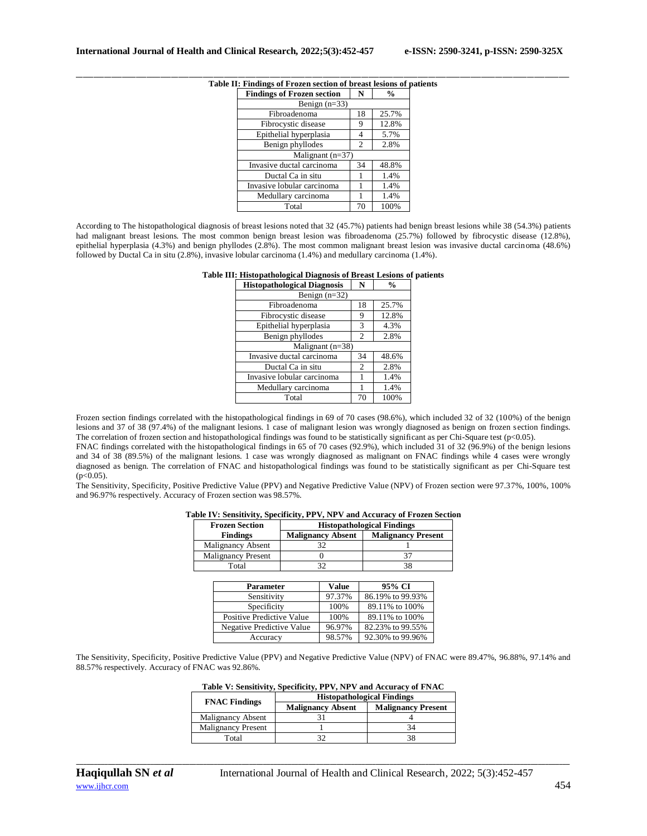| <b>Findings of Frozen section</b> |    | %     |
|-----------------------------------|----|-------|
| Benign $(n=33)$                   |    |       |
| Fibroadenoma                      | 18 | 25.7% |
| Fibrocystic disease               | 9  | 12.8% |
| Epithelial hyperplasia            |    | 5.7%  |
| Benign phyllodes                  | 2  | 2.8%  |
| Malignant $(n=37)$                |    |       |
| Invasive ductal carcinoma         | 34 | 48.8% |
| Ductal Ca in situ                 |    | 1.4%  |
| Invasive lobular carcinoma        |    | 1.4%  |
| Medullary carcinoma               |    | 1.4%  |
| Total                             | 70 | 100%  |

## \_\_\_\_\_\_\_\_\_\_\_\_\_\_\_\_\_\_\_\_\_\_\_\_\_\_\_\_\_\_\_\_\_\_\_\_\_\_\_\_\_\_\_\_\_\_\_\_\_\_\_\_\_\_\_\_\_\_\_\_\_\_\_\_\_\_\_\_\_\_\_\_\_\_\_\_\_\_\_\_\_\_\_\_\_\_\_\_\_\_\_\_\_\_\_\_\_\_\_\_\_\_\_\_\_\_\_\_\_\_\_\_\_\_\_\_\_\_\_\_\_\_\_\_\_\_\_\_\_\_\_\_\_\_\_\_\_\_\_\_ **Table II: Findings of Frozen section of breast lesions of patients**

According to The histopathological diagnosis of breast lesions noted that 32 (45.7%) patients had benign breast lesions while 38 (54.3%) patients had malignant breast lesions. The most common benign breast lesion was fibroadenoma (25.7%) followed by fibrocystic disease (12.8%), epithelial hyperplasia (4.3%) and benign phyllodes (2.8%). The most common malignant breast lesion was invasive ductal carcinoma (48.6%) followed by Ductal Ca in situ (2.8%), invasive lobular carcinoma (1.4%) and medullary carcinoma (1.4%).

| Table III: Histopathological Diagnosis of Breast Lesions of patients |
|----------------------------------------------------------------------|
|----------------------------------------------------------------------|

| <b>Histopathological Diagnosis</b> | N  | $\frac{0}{0}$ |
|------------------------------------|----|---------------|
| Benign $(n=32)$                    |    |               |
| Fibroadenoma                       | 18 | 25.7%         |
| Fibrocystic disease                | 9  | 12.8%         |
| Epithelial hyperplasia             | 3  | 4.3%          |
| Benign phyllodes                   | 2  | 2.8%          |
| Malignant $(n=38)$                 |    |               |
| Invasive ductal carcinoma          | 34 | 48.6%         |
| Ductal Ca in situ                  | 2  | 2.8%          |
| Invasive lobular carcinoma         |    | 1.4%          |
| Medullary carcinoma                |    | 1.4%          |
| Total                              | 70 | 100%          |

Frozen section findings correlated with the histopathological findings in 69 of 70 cases (98.6%), which included 32 of 32 (100%) of the benign lesions and 37 of 38 (97.4%) of the malignant lesions. 1 case of malignant lesion was wrongly diagnosed as benign on frozen section findings. The correlation of frozen section and histopathological findings was found to be statistically significant as per Chi-Square test ( $p<0.05$ ).

FNAC findings correlated with the histopathological findings in 65 of 70 cases (92.9%), which included 31 of 32 (96.9%) of the benign lesions and 34 of 38 (89.5%) of the malignant lesions. 1 case was wrongly diagnosed as malignant on FNAC findings while 4 cases were wrongly diagnosed as benign. The correlation of FNAC and histopathological findings was found to be statistically significant as per Chi-Square test (p<0.05).

The Sensitivity, Specificity, Positive Predictive Value (PPV) and Negative Predictive Value (NPV) of Frozen section were 97.37%, 100%, 100% and 96.97% respectively. Accuracy of Frozen section was 98.57%.

| Table IV: Sensitivity, Specificity, PPV, NPV and Accuracy of Frozen Section |                                   |                           |  |  |
|-----------------------------------------------------------------------------|-----------------------------------|---------------------------|--|--|
| <b>Frozen Section</b>                                                       | <b>Histopathological Findings</b> |                           |  |  |
| <b>Findings</b>                                                             | <b>Malignancy Absent</b>          | <b>Malignancy Present</b> |  |  |

| т шишез                   | манgнансу дозені | мандиансу гтебент |
|---------------------------|------------------|-------------------|
| Malignancy Absent         | 20               |                   |
| <b>Malignancy Present</b> |                  |                   |
| Total                     |                  |                   |
|                           |                  |                   |
| Parameter                 | Value            | 95% CI            |

| <b>Parameter</b>          | Value  | 95% CI           |
|---------------------------|--------|------------------|
| Sensitivity               | 97.37% | 86.19% to 99.93% |
| Specificity               | 100%   | 89.11% to 100%   |
| Positive Predictive Value | 100%   | 89.11% to 100%   |
| Negative Predictive Value | 96.97% | 82.23% to 99.55% |
| Accuracy                  | 98.57% | 92.30% to 99.96% |

The Sensitivity, Specificity, Positive Predictive Value (PPV) and Negative Predictive Value (NPV) of FNAC were 89.47%, 96.88%, 97.14% and 88.57% respectively. Accuracy of FNAC was 92.86%.

| Table V: Sensitivity, Specificity, PPV, NPV and Accuracy of FNAC |  |
|------------------------------------------------------------------|--|
|------------------------------------------------------------------|--|

| <b>FNAC Findings</b>      | <b>Histopathological Findings</b> |                           |  |
|---------------------------|-----------------------------------|---------------------------|--|
|                           | <b>Malignancy Absent</b>          | <b>Malignancy Present</b> |  |
| Malignancy Absent         |                                   |                           |  |
| <b>Malignancy Present</b> |                                   |                           |  |
| Total                     |                                   |                           |  |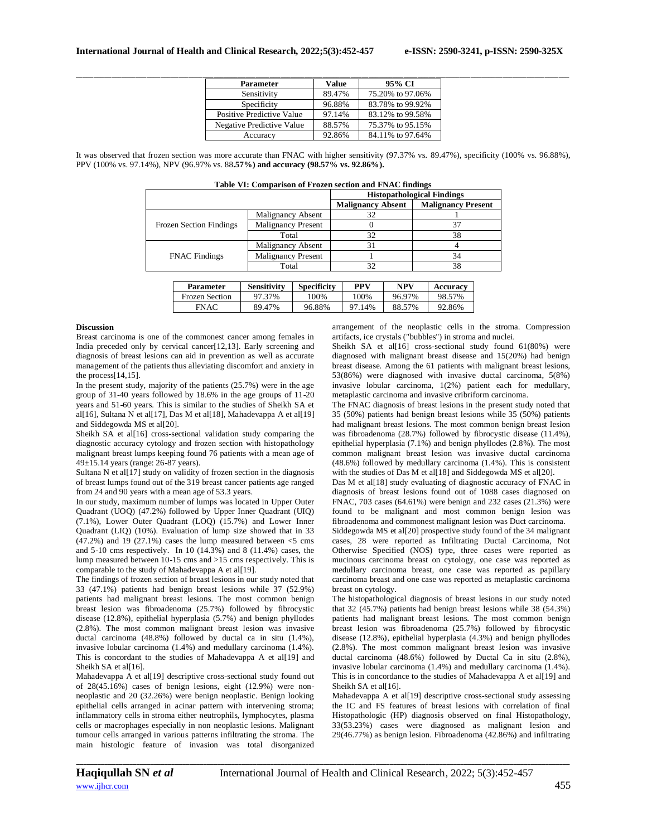| <b>Parameter</b>          | Value  | 95% CI           |
|---------------------------|--------|------------------|
| Sensitivity               | 89.47% | 75.20% to 97.06% |
| Specificity               | 96.88% | 83.78% to 99.92% |
| Positive Predictive Value | 97.14% | 83.12% to 99.58% |
| Negative Predictive Value | 88.57% | 75.37% to 95.15% |
| Accuracy                  | 92.86% | 84.11% to 97.64% |

It was observed that frozen section was more accurate than FNAC with higher sensitivity (97.37% vs. 89.47%), specificity (100% vs. 96.88%), PPV (100% vs. 97.14%), NPV (96.97% vs. 88**.57%) and accuracy (98.57% vs. 92.86%).**

| Table VI: Comparison of Frozen section and FNAC findings |                           |                                                       |    |  |  |
|----------------------------------------------------------|---------------------------|-------------------------------------------------------|----|--|--|
|                                                          |                           | <b>Histopathological Findings</b>                     |    |  |  |
|                                                          |                           | <b>Malignancy Present</b><br><b>Malignancy Absent</b> |    |  |  |
|                                                          | Malignancy Absent         | 32                                                    |    |  |  |
| <b>Frozen Section Findings</b>                           | <b>Malignancy Present</b> |                                                       | 37 |  |  |
|                                                          | Total                     | 32                                                    | 38 |  |  |
|                                                          | Malignancy Absent         | 31                                                    |    |  |  |
| <b>FNAC</b> Findings                                     | <b>Malignancy Present</b> |                                                       | 34 |  |  |
|                                                          | Total                     | 32                                                    | 38 |  |  |
|                                                          |                           |                                                       |    |  |  |

| <b>Parameter</b>      | <b>Sensitivity</b> | <b>Specificity</b> | PPV    | NPV    | Accuracy |
|-----------------------|--------------------|--------------------|--------|--------|----------|
| <b>Frozen Section</b> | 97.37%             | 100%               | 100%   | 96.97% | 98.57%   |
| FNAC                  | 89.47%             | 96.88%             | 97.14% | 88.57% | 92.86%   |

### **Discussion**

Breast carcinoma is one of the commonest cancer among females in India preceded only by cervical cancer[12,13]. Early screening and diagnosis of breast lesions can aid in prevention as well as accurate management of the patients thus alleviating discomfort and anxiety in the process[14,15].

In the present study, majority of the patients  $(25.7%)$  were in the age group of 31-40 years followed by 18.6% in the age groups of 11-20 years and 51-60 years. This is similar to the studies of Sheikh SA et al[16], Sultana N et al[17], Das M et al[18], Mahadevappa A et al[19] and Siddegowda MS et al[20].

Sheikh SA et al[16] cross-sectional validation study comparing the diagnostic accuracy cytology and frozen section with histopathology malignant breast lumps keeping found 76 patients with a mean age of 49±15.14 years (range: 26-87 years).

Sultana N et al[17] study on validity of frozen section in the diagnosis of breast lumps found out of the 319 breast cancer patients age ranged from 24 and 90 years with a mean age of 53.3 years.

In our study, maximum number of lumps was located in Upper Outer Quadrant (UOQ) (47.2%) followed by Upper Inner Quadrant (UIQ) (7.1%), Lower Outer Quadrant (LOQ) (15.7%) and Lower Inner Quadrant (LIQ) (10%). Evaluation of lump size showed that in 33  $(47.2%)$  and 19  $(27.1%)$  cases the lump measured between  $<$  5 cms and 5-10 cms respectively. In 10 (14.3%) and 8 (11.4%) cases, the lump measured between 10-15 cms and >15 cms respectively. This is comparable to the study of Mahadevappa A et al[19].

The findings of frozen section of breast lesions in our study noted that 33 (47.1%) patients had benign breast lesions while 37 (52.9%) patients had malignant breast lesions. The most common benign breast lesion was fibroadenoma (25.7%) followed by fibrocystic disease (12.8%), epithelial hyperplasia (5.7%) and benign phyllodes (2.8%). The most common malignant breast lesion was invasive ductal carcinoma (48.8%) followed by ductal ca in situ (1.4%), invasive lobular carcinoma (1.4%) and medullary carcinoma (1.4%). This is concordant to the studies of Mahadevappa A et al[19] and Sheikh SA et al[16].

Mahadevappa A et al[19] descriptive cross-sectional study found out of 28(45.16%) cases of benign lesions, eight (12.9%) were nonneoplastic and 20 (32.26%) were benign neoplastic. Benign looking epithelial cells arranged in acinar pattern with intervening stroma; inflammatory cells in stroma either neutrophils, lymphocytes, plasma cells or macrophages especially in non neoplastic lesions. Malignant tumour cells arranged in various patterns infiltrating the stroma. The main histologic feature of invasion was total disorganized arrangement of the neoplastic cells in the stroma. Compression artifacts, ice crystals ("bubbles") in stroma and nuclei.

Sheikh SA et al[16] cross-sectional study found 61(80%) were diagnosed with malignant breast disease and 15(20%) had benign breast disease. Among the 61 patients with malignant breast lesions, 53(86%) were diagnosed with invasive ductal carcinoma, 5(8%) invasive lobular carcinoma, 1(2%) patient each for medullary, metaplastic carcinoma and invasive cribriform carcinoma.

The FNAC diagnosis of breast lesions in the present study noted that 35 (50%) patients had benign breast lesions while 35 (50%) patients had malignant breast lesions. The most common benign breast lesion was fibroadenoma (28.7%) followed by fibrocystic disease (11.4%), epithelial hyperplasia (7.1%) and benign phyllodes (2.8%). The most common malignant breast lesion was invasive ductal carcinoma (48.6%) followed by medullary carcinoma (1.4%). This is consistent with the studies of Das M et al[18] and Siddegowda MS et al[20].

Das M et al[18] study evaluating of diagnostic accuracy of FNAC in diagnosis of breast lesions found out of 1088 cases diagnosed on FNAC, 703 cases (64.61%) were benign and 232 cases (21.3%) were found to be malignant and most common benign lesion was fibroadenoma and commonest malignant lesion was Duct carcinoma.

Siddegowda MS et al[20] prospective study found of the 34 malignant cases, 28 were reported as Infiltrating Ductal Carcinoma, Not Otherwise Specified (NOS) type, three cases were reported as mucinous carcinoma breast on cytology, one case was reported as medullary carcinoma breast, one case was reported as papillary carcinoma breast and one case was reported as metaplastic carcinoma breast on cytology.

The histopathological diagnosis of breast lesions in our study noted that 32 (45.7%) patients had benign breast lesions while 38 (54.3%) patients had malignant breast lesions. The most common benign breast lesion was fibroadenoma (25.7%) followed by fibrocystic disease (12.8%), epithelial hyperplasia (4.3%) and benign phyllodes (2.8%). The most common malignant breast lesion was invasive ductal carcinoma (48.6%) followed by Ductal Ca in situ (2.8%), invasive lobular carcinoma (1.4%) and medullary carcinoma (1.4%). This is in concordance to the studies of Mahadevappa A et al[19] and Sheikh SA et al[16].

Mahadevappa A et al[19] descriptive cross-sectional study assessing the IC and FS features of breast lesions with correlation of final Histopathologic (HP) diagnosis observed on final Histopathology, 33(53.23%) cases were diagnosed as malignant lesion and 29(46.77%) as benign lesion. Fibroadenoma (42.86%) and infiltrating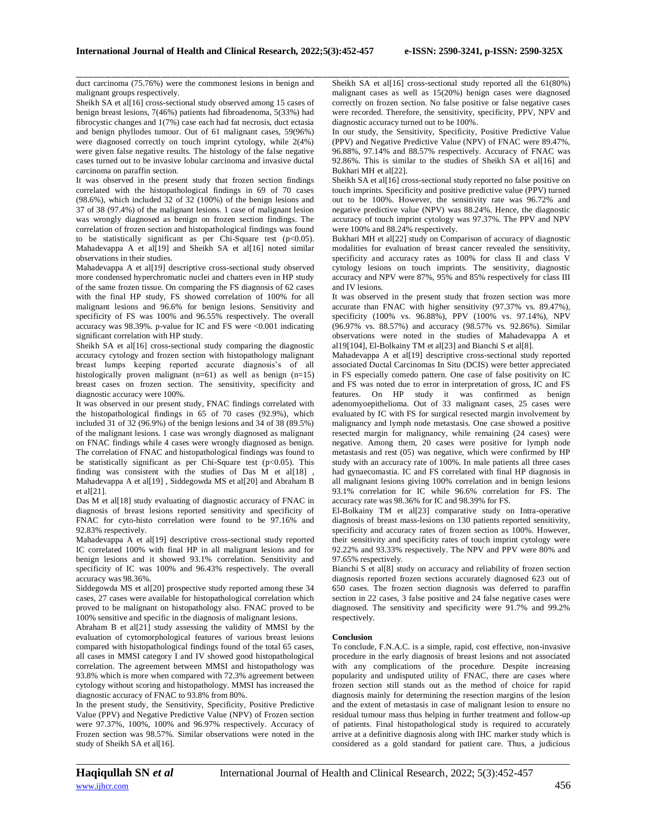\_\_\_\_\_\_\_\_\_\_\_\_\_\_\_\_\_\_\_\_\_\_\_\_\_\_\_\_\_\_\_\_\_\_\_\_\_\_\_\_\_\_\_\_\_\_\_\_\_\_\_\_\_\_\_\_\_\_\_\_\_\_\_\_\_\_\_\_\_\_\_\_\_\_\_\_\_\_\_\_\_\_\_\_\_\_\_\_\_\_\_\_\_\_\_\_\_\_\_\_\_\_\_\_\_\_\_\_\_\_\_\_\_\_\_\_\_\_\_\_\_\_\_\_\_\_\_\_\_\_\_\_\_\_\_\_\_\_\_\_

duct carcinoma (75.76%) were the commonest lesions in benign and malignant groups respectively.

Sheikh SA et al[16] cross-sectional study observed among 15 cases of benign breast lesions, 7(46%) patients had fibroadenoma, 5(33%) had fibrocystic changes and 1(7%) case each had fat necrosis, duct ectasia and benign phyllodes tumour. Out of 61 malignant cases, 59(96%) were diagnosed correctly on touch imprint cytology, while 2(4%) were given false negative results. The histology of the false negative cases turned out to be invasive lobular carcinoma and invasive ductal carcinoma on paraffin section.

It was observed in the present study that frozen section findings correlated with the histopathological findings in 69 of 70 cases (98.6%), which included 32 of 32 (100%) of the benign lesions and 37 of 38 (97.4%) of the malignant lesions. 1 case of malignant lesion was wrongly diagnosed as benign on frozen section findings. The correlation of frozen section and histopathological findings was found to be statistically significant as per Chi-Square test  $(p<0.05)$ . Mahadevappa A et al<sup>[19]</sup> and Sheikh SA et al<sup>[16]</sup> noted similar observations in their studies.

Mahadevappa A et al[19] descriptive cross-sectional study observed more condensed hyperchromatic nuclei and chatters even in HP study of the same frozen tissue. On comparing the FS diagnosis of 62 cases with the final HP study, FS showed correlation of 100% for all malignant lesions and 96.6% for benign lesions. Sensitivity and specificity of FS was 100% and 96.55% respectively. The overall accuracy was 98.39%. p-value for IC and FS were <0.001 indicating significant correlation with HP study.

Sheikh SA et al<sup>[16]</sup> cross-sectional study comparing the diagnostic accuracy cytology and frozen section with histopathology malignant breast lumps keeping reported accurate diagnosis's of all histologically proven malignant (n=61) as well as benign (n=15) breast cases on frozen section. The sensitivity, specificity and diagnostic accuracy were 100%.

It was observed in our present study, FNAC findings correlated with the histopathological findings in 65 of 70 cases (92.9%), which included 31 of 32 (96.9%) of the benign lesions and 34 of 38 (89.5%) of the malignant lesions. 1 case was wrongly diagnosed as malignant on FNAC findings while 4 cases were wrongly diagnosed as benign. The correlation of FNAC and histopathological findings was found to be statistically significant as per Chi-Square test  $(p<0.05)$ . This finding was consistent with the studies of Das M et al[18], Mahadevappa A et al[19] , Siddegowda MS et al[20] and Abraham B  $et$ al $[211]$ .

Das M et al<sup>[18]</sup> study evaluating of diagnostic accuracy of FNAC in diagnosis of breast lesions reported sensitivity and specificity of FNAC for cyto-histo correlation were found to be 97.16% and 92.83% respectively.

Mahadevappa A et al[19] descriptive cross-sectional study reported IC correlated 100% with final HP in all malignant lesions and for benign lesions and it showed 93.1% correlation. Sensitivity and specificity of IC was 100% and 96.43% respectively. The overall accuracy was 98.36%.

Siddegowda MS et al[20] prospective study reported among these 34 cases, 27 cases were available for histopathological correlation which proved to be malignant on histopathology also. FNAC proved to be 100% sensitive and specific in the diagnosis of malignant lesions.

Abraham B et al[21] study assessing the validity of MMSI by the evaluation of cytomorphological features of various breast lesions compared with histopathological findings found of the total 65 cases, all cases in MMSI category I and IV showed good histopathological correlation. The agreement between MMSI and histopathology was 93.8% which is more when compared with 72.3% agreement between cytology without scoring and histopathology. MMSI has increased the diagnostic accuracy of FNAC to 93.8% from 80%.

In the present study, the Sensitivity, Specificity, Positive Predictive Value (PPV) and Negative Predictive Value (NPV) of Frozen section were 97.37%, 100%, 100% and 96.97% respectively. Accuracy of Frozen section was 98.57%. Similar observations were noted in the study of Sheikh SA et al[16].

Sheikh SA et al<sup>[16]</sup> cross-sectional study reported all the 61(80%) malignant cases as well as 15(20%) benign cases were diagnosed correctly on frozen section. No false positive or false negative cases were recorded. Therefore, the sensitivity, specificity, PPV, NPV and diagnostic accuracy turned out to be 100%.

In our study, the Sensitivity, Specificity, Positive Predictive Value (PPV) and Negative Predictive Value (NPV) of FNAC were 89.47%, 96.88%, 97.14% and 88.57% respectively. Accuracy of FNAC was 92.86%. This is similar to the studies of Sheikh SA et al[16] and Bukhari MH et al[22].

Sheikh SA et al[16] cross-sectional study reported no false positive on touch imprints. Specificity and positive predictive value (PPV) turned out to be 100%. However, the sensitivity rate was 96.72% and negative predictive value (NPV) was 88.24%. Hence, the diagnostic accuracy of touch imprint cytology was 97.37%. The PPV and NPV were 100% and 88.24% respectively.

Bukhari MH et al[22] study on Comparison of accuracy of diagnostic modalities for evaluation of breast cancer revealed the sensitivity, specificity and accuracy rates as 100% for class II and class V cytology lesions on touch imprints. The sensitivity, diagnostic accuracy and NPV were 87%, 95% and 85% respectively for class III and IV lesions.

It was observed in the present study that frozen section was more accurate than FNAC with higher sensitivity (97.37% vs. 89.47%), specificity (100% vs. 96.88%), PPV (100% vs. 97.14%), NPV (96.97% vs. 88.57%) and accuracy (98.57% vs. 92.86%). Similar observations were noted in the studies of Mahadevappa A et al19[104], El-Bolkainy TM et al[23] and Bianchi S et al[8].

Mahadevappa A et al[19] descriptive cross-sectional study reported associated Ductal Carcinomas In Situ (DCIS) were better appreciated in FS especially comedo pattern. One case of false positivity on IC and FS was noted due to error in interpretation of gross, IC and FS features. On HP study it was confirmed as benign adenomyoepithelioma. Out of 33 malignant cases, 25 cases were evaluated by IC with FS for surgical resected margin involvement by malignancy and lymph node metastasis. One case showed a positive resected margin for malignancy, while remaining (24 cases) were negative. Among them, 20 cases were positive for lymph node metastasis and rest (05) was negative, which were confirmed by HP study with an accuracy rate of 100%. In male patients all three cases had gynaecomastia. IC and FS correlated with final HP diagnosis in all malignant lesions giving 100% correlation and in benign lesions 93.1% correlation for IC while 96.6% correlation for FS. The accuracy rate was 98.36% for IC and 98.39% for FS.

El-Bolkainy TM et al[23] comparative study on Intra-operative diagnosis of breast mass-lesions on 130 patients reported sensitivity, specificity and accuracy rates of frozen section as 100%. However, their sensitivity and specificity rates of touch imprint cytology were 92.22% and 93.33% respectively. The NPV and PPV were 80% and 97.65% respectively.

Bianchi S et al[8] study on accuracy and reliability of frozen section diagnosis reported frozen sections accurately diagnosed 623 out of 650 cases. The frozen section diagnosis was deferred to paraffin section in 22 cases, 3 false positive and 24 false negative cases were diagnosed. The sensitivity and specificity were 91.7% and 99.2% respectively.

### **Conclusion**

*\_\_\_\_\_\_\_\_\_\_\_\_\_\_\_\_\_\_\_\_\_\_\_\_\_\_\_\_\_\_\_\_\_\_\_\_\_\_\_\_\_\_\_\_\_\_\_\_\_\_\_\_\_\_\_\_\_\_\_\_\_\_\_\_\_\_\_\_\_\_\_\_\_\_\_\_\_\_\_\_\_\_\_\_\_\_\_\_\_\_\_\_\_\_\_\_\_\_\_\_\_\_\_\_\_\_\_\_\_\_\_\_\_\_\_\_\_\_\_\_\_\_\_\_\_\_\_\_\_\_\_\_\_\_\_\_\_\_\_\_*

To conclude, F.N.A.C. is a simple, rapid, cost effective, non-invasive procedure in the early diagnosis of breast lesions and not associated with any complications of the procedure. Despite increasing popularity and undisputed utility of FNAC, there are cases where frozen section still stands out as the method of choice for rapid diagnosis mainly for determining the resection margins of the lesion and the extent of metastasis in case of malignant lesion to ensure no residual tumour mass thus helping in further treatment and follow-up of patients. Final histopathological study is required to accurately arrive at a definitive diagnosis along with IHC marker study which is considered as a gold standard for patient care. Thus, a judicious